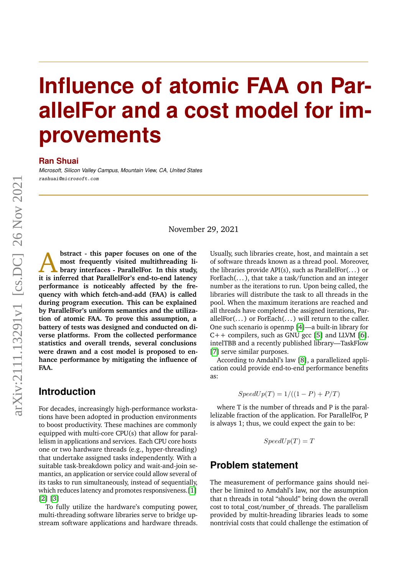# **Influence of atomic FAA on ParallelFor and a cost model for improvements**

#### **Ran Shuai**

*Microsoft, Silicon Valley Campus, Mountain View, CA, United States* rashuai@microsoft.com

November 29, 2021

A **bstract - this paper focuses on one of the most frequently visited multithreading library interfaces - ParallelFor. In this study, it is inferred that ParallelFor's end-to-end latency performance is noticeably affected by the frequency with which fetch-and-add (FAA) is called during program execution. This can be explained by ParallelFor's uniform semantics and the utilization of atomic FAA. To prove this assumption, a battery of tests was designed and conducted on diverse platforms. From the collected performance statistics and overall trends, several conclusions were drawn and a cost model is proposed to enhance performance by mitigating the influence of FAA.**

### **Introduction**

For decades, increasingly high-performance workstations have been adopted in production environments to boost productivity. These machines are commonly equipped with multi-core CPU(s) that allow for parallelism in applications and services. Each CPU core hosts one or two hardware threads (e.g., hyper-threading) that undertake assigned tasks independently. With a suitable task-breakdown policy and wait-and-join semantics, an application or service could allow several of its tasks to run simultaneously, instead of sequentially, which reduces latency and promotes responsiveness.[\[1\]](#page-8-0) [\[2\]](#page-8-1) [\[3\]](#page-8-2)

To fully utilize the hardware's computing power, multi-threading software libraries serve to bridge upstream software applications and hardware threads. Usually, such libraries create, host, and maintain a set of software threads known as a thread pool. Moreover, the libraries provide API(s), such as ParallelFor $(\dots)$  or ForEach(...), that take a task/function and an integer number as the iterations to run. Upon being called, the libraries will distribute the task to all threads in the pool. When the maximum iterations are reached and all threads have completed the assigned iterations, ParallelFor(... ) or ForEach(... ) will return to the caller. One such scenario is openmp [\[4\]](#page-8-3)—a built-in library for  $C++$  compilers, such as GNU gcc [\[5\]](#page-8-4) and LLVM [\[6\]](#page-8-5). intelTBB and a recently published library—TaskFlow [\[7\]](#page-8-6) serve similar purposes.

According to Amdahl's law [\[8\]](#page-8-7), a parallelized application could provide end-to-end performance benefits as:

$$
SpeedUp(T) = 1/((1 - P) + P/T)
$$

where T is the number of threads and P is the parallelizable fraction of the application. For ParallelFor, P is always 1; thus, we could expect the gain to be:

$$
SpeedUp(T) = T
$$

## **Problem statement**

The measurement of performance gains should neither be limited to Amdahl's law, nor the assumption that n threads in total "should" bring down the overall cost to total\_cost/number\_of\_threads. The parallelism provided by multit-hreading libraries leads to some nontrivial costs that could challenge the estimation of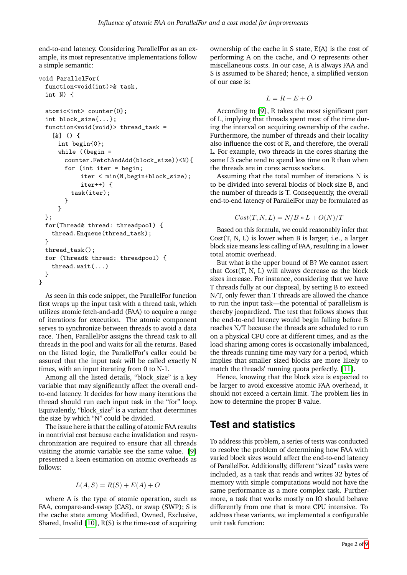end-to-end latency. Considering ParallelFor as an example, its most representative implementations follow a simple semantic:

```
void ParallelFor(
 function<void(int)>& task,
 int N) {
 atomic<int> counter{0};
 int block_size{...};
 function<void(void)> thread_task =
    [&] () {
     int begin{0};
     while ((begin =
       counter.FetchAndAdd(block_size))<N){
       for (int iter = begin;
            iter < min(N,begin+block_size);
            iter++) {
         task(iter);
       }
     }
 };
 for(Thread& thread: threadpool) {
   thread.Enqueue(thread_task);
 }
 thread_task();
 for (Thread& thread: threadpool) {
   thread.wait(...)
 }
}
```
As seen in this code snippet, the ParallelFor function first wraps up the input task with a thread task, which utilizes atomic fetch-and-add (FAA) to acquire a range of iterations for execution. The atomic component serves to synchronize between threads to avoid a data race. Then, ParallelFor assigns the thread task to all threads in the pool and waits for all the returns. Based on the listed logic, the ParallelFor's caller could be assured that the input task will be called exactly N times, with an input iterating from 0 to N-1.

Among all the listed details, "block size" is a key variable that may significantly affect the overall endto-end latency. It decides for how many iterations the thread should run each input task in the "for" loop. Equivalently, "block\_size" is a variant that determines the size by which "N" could be divided.

The issue here is that the calling of atomic FAA results in nontrivial cost because cache invalidation and resynchronization are required to ensure that all threads visiting the atomic variable see the same value. [\[9\]](#page-8-8) presented a keen estimation on atomic overheads as follows:

$$
L(A, S) = R(S) + E(A) + O
$$

where A is the type of atomic operation, such as FAA, compare-and-swap (CAS), or swap (SWP); S is the cache state among Modified, Owned, Exclusive, Shared, Invalid  $[10]$ ,  $R(S)$  is the time-cost of acquiring

ownership of the cache in S state, E(A) is the cost of performing A on the cache, and O represents other miscellaneous costs. In our case, A is always FAA and S is assumed to be Shared; hence, a simplified version of our case is:

$$
L=R+E+O
$$

According to [\[9\]](#page-8-8), R takes the most significant part of L, implying that threads spent most of the time during the interval on acquiring ownership of the cache. Furthermore, the number of threads and their locality also influence the cost of R, and therefore, the overall L. For example, two threads in the cores sharing the same L3 cache tend to spend less time on R than when the threads are in cores across sockets.

Assuming that the total number of iterations N is to be divided into several blocks of block size B, and the number of threads is T. Consequently, the overall end-to-end latency of ParallelFor may be formulated as

$$
Cost(T, N, L) = N/B * L + O(N)/T
$$

Based on this formula, we could reasonably infer that Cost(T, N, L) is lower when B is larger, i.e., a larger block size means less calling of FAA, resulting in a lower total atomic overhead.

But what is the upper bound of B? We cannot assert that Cost(T, N, L) will always decrease as the block sizes increase. For instance, considering that we have T threads fully at our disposal, by setting B to exceed N/T, only fewer than T threads are allowed the chance to run the input task—the potential of parallelism is thereby jeopardized. The test that follows shows that the end-to-end latency would begin falling before B reaches N/T because the threads are scheduled to run on a physical CPU core at different times, and as the load sharing among cores is occasionally imbalanced, the threads running time may vary for a period, which implies that smaller sized blocks are more likely to match the threads' running quota perfectly. [\[11\]](#page-8-10).

Hence, knowing that the block size is expected to be larger to avoid excessive atomic FAA overhead, it should not exceed a certain limit. The problem lies in how to determine the proper B value.

## **Test and statistics**

To address this problem, a series of tests was conducted to resolve the problem of determining how FAA with varied block sizes would affect the end-to-end latency of ParallelFor. Additionally, different "sized" tasks were included, as a task that reads and writes 32 bytes of memory with simple computations would not have the same performance as a more complex task. Furthermore, a task that works mostly on IO should behave differently from one that is more CPU intensive. To address these variants, we implemented a configurable unit task function: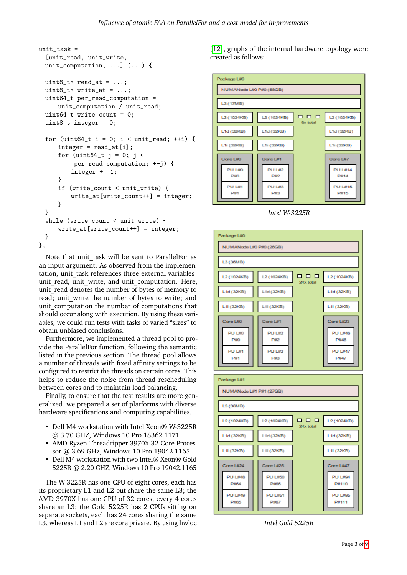```
unit\_task =[unit_read, unit_write,
 unit_computation, ...] (...) {
 uint8_t read_at = \ldots;
 uint8_t + write_at = \dots;
 uint64_t per_read_computation =
     unit_computation / unit_read;
 uint64_t write_count = 0;
 uint8_t integer = 0;
 for (uint64_t i = 0; i < unit_read; ++i) {
     integer = read_at[i];for (uint64_t j = 0; j <per_read_computation; ++j) {
         integer += 1;}
     if (write count < unit write) {
         write_at[write_count++] = integer;}
 }
 while (write_count < unit_write) {
     write_at[write_count++] = integer;}
};
```
Note that unit task will be sent to ParallelFor as an input argument. As observed from the implementation, unit task references three external variables unit read, unit write, and unit computation. Here, unit read denotes the number of bytes of memory to read; unit write the number of bytes to write; and unit computation the number of computations that should occur along with execution. By using these variables, we could run tests with tasks of varied "sizes" to obtain unbiased conclusions.

Furthermore, we implemented a thread pool to provide the ParallelFor function, following the semantic listed in the previous section. The thread pool allows a number of threads with fixed affinity settings to be configured to restrict the threads on certain cores. This helps to reduce the noise from thread rescheduling between cores and to maintain load balancing.

Finally, to ensure that the test results are more generalized, we prepared a set of platforms with diverse hardware specifications and computing capabilities.

- Dell M4 workstation with Intel Xeon® W-3225R @ 3.70 GHZ, Windows 10 Pro 18362.1171
- AMD Ryzen Threadripper 3970X 32-Core Processor @ 3.69 GHz, Windows 10 Pro 19042.1165
- Dell M4 workstation with two Intel® Xeon® Gold 5225R @ 2.20 GHZ, Windows 10 Pro 19042.1165

The W-3225R has one CPU of eight cores, each has its proprietary L1 and L2 but share the same L3; the AMD 3970X has one CPU of 32 cores, every 4 cores share an L3; the Gold 5225R has 2 CPUs sitting on separate sockets, each has 24 cores sharing the same L3, whereas L1 and L2 are core private. By using hwloc

[\[12\]](#page-8-12), graphs of the internal hardware topology were created as follows:



*Intel W-3225R*



*Intel Gold 5225R*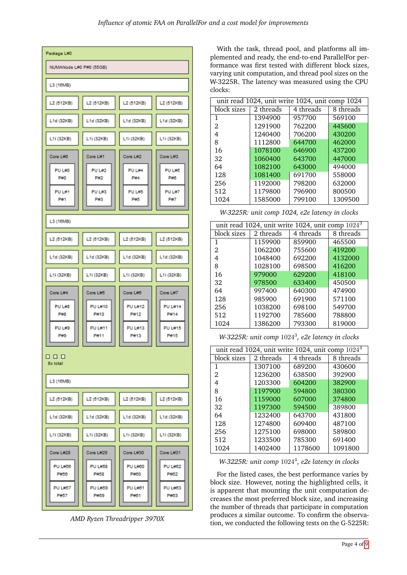

*AMD Ryzen Threadripper 3970X*

With the task, thread pool, and platforms all implemented and ready, the end-to-end ParallelFor performance was first tested with different block sizes, varying unit computation, and thread pool sizes on the W-3225R. The latency was measured using the CPU clocks:

| unit read 1024, unit write 1024, unit comp 1024 |           |           |           |
|-------------------------------------------------|-----------|-----------|-----------|
| block sizes                                     | 2 threads | 4 threads | 8 threads |
| 1                                               | 1394900   | 957700    | 569100    |
| 2                                               | 1291900   | 762200    | 445600    |
| 4                                               | 1240400   | 706200    | 430200    |
| 8                                               | 1112800   | 644700    | 462000    |
| 16                                              | 1078100   | 646900    | 437200    |
| 32                                              | 1060400   | 643700    | 447000    |
| 64                                              | 1082100   | 643000    | 494000    |
| 128                                             | 1081400   | 691700    | 558000    |
| 256                                             | 1192000   | 798200    | 632000    |
| 512                                             | 1179800   | 796900    | 800500    |
| 1024                                            | 1585000   | 799100    | 1309500   |

*W-3225R: unit comp 1024, e2e latency in clocks*

| unit read 1024, unit write 1024, unit comp $10243$ |           |           |           |  |
|----------------------------------------------------|-----------|-----------|-----------|--|
| block sizes                                        | 2 threads | 4 threads | 8 threads |  |
| 1                                                  | 1159900   | 859900    | 465500    |  |
| 2                                                  | 1062200   | 755600    | 419200    |  |
| 4                                                  | 1048400   | 692200    | 4132000   |  |
| 8                                                  | 1028100   | 698500    | 416200    |  |
| 16                                                 | 979000    | 629200    | 418100    |  |
| 32                                                 | 978500    | 633400    | 450500    |  |
| 64                                                 | 997400    | 640300    | 474900    |  |
| 128                                                | 985900    | 691900    | 571100    |  |
| 256                                                | 1038200   | 698100    | 549700    |  |
| 512                                                | 1192700   | 785600    | 788800    |  |
| 1024                                               | 1386200   | 793300    | 819000    |  |

*W-3225R: unit comp* 1024<sup>3</sup> *, e2e latency in clocks*

| unit read 1024, unit write 1024, unit comp $1024^4$ |           |           |           |  |
|-----------------------------------------------------|-----------|-----------|-----------|--|
| block sizes                                         | 2 threads | 4 threads | 8 threads |  |
| 1                                                   | 1307100   | 689200    | 430600    |  |
| 2                                                   | 1236200   | 638500    | 392900    |  |
| 4                                                   | 1203300   | 604200    | 382900    |  |
| 8                                                   | 1197900   | 594800    | 380300    |  |
| 16                                                  | 1159000   | 607000    | 374800    |  |
| 32                                                  | 1197300   | 594500    | 389800    |  |
| 64                                                  | 1232400   | 643700    | 431800    |  |
| 128                                                 | 1274800   | 609400    | 487100    |  |
| 256                                                 | 1275100   | 698000    | 589800    |  |
| 512                                                 | 1233500   | 785300    | 691400    |  |
| 1024                                                | 1402400   | 1178600   | 1091800   |  |

*W-3225R: unit comp* 1024<sup>4</sup> *, e2e latency in clocks*

For the listed cases, the best performance varies by block size. However, noting the highlighted cells, it is apparent that mounting the unit computation decreases the most preferred block size, and increasing the number of threads that participate in computation produces a similar outcome. To confirm the observation, we conducted the following tests on the G-5225R: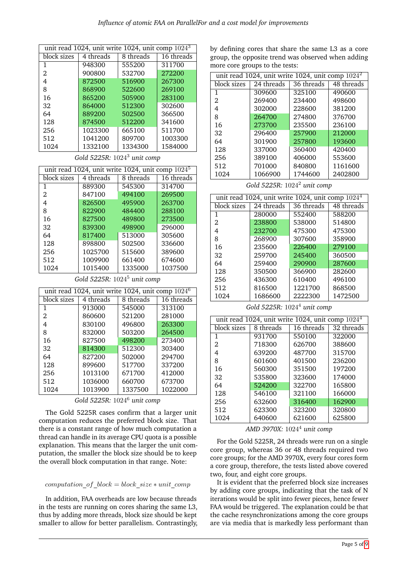| unit read 1024, unit write 1024, unit comp 1024 <sup>3</sup> |           |           |            |
|--------------------------------------------------------------|-----------|-----------|------------|
| block sizes                                                  | 4 threads | 8 threads | 16 threads |
| 1                                                            | 948300    | 555200    | 311700     |
| 2                                                            | 900800    | 532700    | 272200     |
| 4                                                            | 872500    | 516900    | 267300     |
| 8                                                            | 868900    | 522600    | 269100     |
| 16                                                           | 865200    | 505900    | 283100     |
| 32                                                           | 864000    | 512300    | 302600     |
| 64                                                           | 889200    | 502500    | 366500     |
| 128                                                          | 874500    | 512200    | 341600     |
| 256                                                          | 1023300   | 665100    | 511700     |
| 512                                                          | 1041200   | 809700    | 1003300    |
| 1024                                                         | 1332100   | 1334300   | 1584000    |

*Gold 5225R:* 1024<sup>3</sup> *unit comp*

| unit read 1024, unit write 1024, unit comp $10245$ |           |           |            |
|----------------------------------------------------|-----------|-----------|------------|
| block sizes                                        | 4 threads | 8 threads | 16 threads |
| 1                                                  | 889300    | 545300    | 314700     |
| 2                                                  | 847100    | 494100    | 269500     |
| 4                                                  | 826500    | 495900    | 263700     |
| 8                                                  | 822900    | 484400    | 288100     |
| 16                                                 | 827500    | 489800    | 273500     |
| 32                                                 | 839300    | 498900    | 296000     |
| 64                                                 | 817400    | 513000    | 305600     |
| 128                                                | 898800    | 502500    | 336600     |
| 256                                                | 1025700   | 515600    | 389600     |
| 512                                                | 1009900   | 661400    | 674600     |
| 1024                                               | 1015400   | 1335000   | 1037500    |

*Gold 5225R:* 1024<sup>5</sup> *unit comp*

| unit read 1024, unit write 1024, unit comp $1024^6$ |           |           |            |  |
|-----------------------------------------------------|-----------|-----------|------------|--|
| block sizes                                         | 4 threads | 8 threads | 16 threads |  |
| 1                                                   | 913000    | 545000    | 313100     |  |
| 2                                                   | 860600    | 521200    | 281000     |  |
| 4                                                   | 830100    | 496800    | 263300     |  |
| 8                                                   | 832000    | 503200    | 264500     |  |
| 16                                                  | 827500    | 498200    | 273400     |  |
| 32                                                  | 814300    | 512300    | 303400     |  |
| 64                                                  | 827200    | 502000    | 294700     |  |
| 128                                                 | 899600    | 517700    | 337200     |  |
| 256                                                 | 1013100   | 671700    | 412000     |  |
| 512                                                 | 1036000   | 660700    | 673700     |  |
| 1024                                                | 1013900   | 1337500   | 1022000    |  |

*Gold 5225R:* 1024<sup>6</sup> *unit comp*

The Gold 5225R cases confirm that a larger unit computation reduces the preferred block size. That there is a constant range of how much computation a thread can handle in its average CPU quota is a possible explanation. This means that the larger the unit computation, the smaller the block size should be to keep the overall block computation in that range. Note:

#### computation of  $block = block\ size * unit\ comp$

In addition, FAA overheads are low because threads in the tests are running on cores sharing the same L3, thus by adding more threads, block size should be kept smaller to allow for better parallelism. Contrastingly, by defining cores that share the same L3 as a core group, the opposite trend was observed when adding more core groups to the tests:

| unit read 1024, unit write 1024, unit comp $1024^2$ |            |            |            |
|-----------------------------------------------------|------------|------------|------------|
| block sizes                                         | 24 threads | 36 threads | 48 threads |
| 1                                                   | 309600     | 325100     | 490600     |
| 2.                                                  | 269400     | 234400     | 498600     |
| 4                                                   | 302000     | 228600     | 381200     |
| 8                                                   | 264700     | 274800     | 376700     |
| 16                                                  | 273700     | 235500     | 236100     |
| 32                                                  | 296400     | 257900     | 212000     |
| 64                                                  | 301900     | 257800     | 193600     |
| 128                                                 | 337000     | 360400     | 420400     |
| 256                                                 | 389100     | 406000     | 553600     |
| 512                                                 | 701000     | 840800     | 1161600    |
| 1024                                                | 1066900    | 1744600    | 2402800    |

*Gold 5225R:* 1024<sup>2</sup> *unit comp*

| unit read 1024, unit write 1024, unit comp $1024^4$ |            |            |            |  |
|-----------------------------------------------------|------------|------------|------------|--|
| block sizes                                         | 24 threads | 36 threads | 48 threads |  |
| 1                                                   | 280000     | 552400     | 588200     |  |
| 2                                                   | 238800     | 538000     | 514800     |  |
| 4                                                   | 232700     | 475300     | 475300     |  |
| 8                                                   | 268900     | 307600     | 358900     |  |
| 16                                                  | 235600     | 226400     | 279100     |  |
| 32                                                  | 259700     | 245400     | 360500     |  |
| 64                                                  | 259400     | 290900     | 287600     |  |
| 128                                                 | 350500     | 366900     | 282600     |  |
| 256                                                 | 436300     | 610400     | 496100     |  |
| 512                                                 | 816500     | 1221700    | 868500     |  |
| 1024                                                | 1686600    | 2222300    | 1472500    |  |

*Gold 5225R:* 1024<sup>4</sup> *unit comp*

| unit read 1024, unit write 1024, unit comp $1024^4$ |           |            |            |
|-----------------------------------------------------|-----------|------------|------------|
| block sizes                                         | 8 threads | 16 threads | 32 threads |
| 1                                                   | 931700    | 550100     | 322000     |
| 2                                                   | 718300    | 626700     | 388600     |
| 4                                                   | 639200    | 487700     | 315700     |
| 8                                                   | 601600    | 401500     | 236200     |
| 16                                                  | 560300    | 351500     | 197200     |
| 32                                                  | 535800    | 323600     | 174000     |
| 64                                                  | 524200    | 322700     | 165800     |
| 128                                                 | 546100    | 321100     | 166000     |
| 256                                                 | 632600    | 316400     | 162900     |
| 512                                                 | 623300    | 323200     | 320800     |
| 1024                                                | 640600    | 621600     | 625800     |

*AMD 3970X:* 1024<sup>4</sup> *unit comp*

For the Gold 5225R, 24 threads were run on a single core group, whereas 36 or 48 threads required two core groups; for the AMD 3970X, every four cores form a core group, therefore, the tests listed above covered two, four, and eight core groups.

It is evident that the preferred block size increases by adding core groups, indicating that the task of N iterations would be split into fewer pieces, hence fewer FAA would be triggered. The explanation could be that the cache resynchronizations among the core groups are via media that is markedly less performant than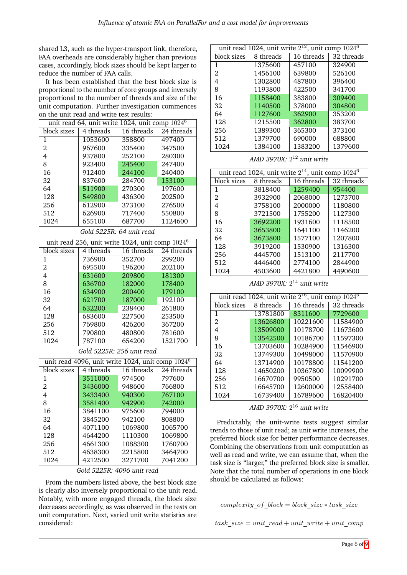shared L3, such as the hyper-transport link, therefore, FAA overheads are considerably higher than previous cases, accordingly, block sizes should be kept larger to reduce the number of FAA calls.

It has been established that the best block size is proportional to the number of core groups and inversely proportional to the number of threads and size of the unit computation. Further investigation commences on the unit read and write test results:

| unit read 64, unit write 1024, unit comp $1024^6$ |                          |            |            |  |
|---------------------------------------------------|--------------------------|------------|------------|--|
| block sizes                                       | 4 threads                | 16 threads | 24 threads |  |
| 1                                                 | 1053600                  | 358800     | 497400     |  |
| 2.                                                | 967600                   | 335400     | 347500     |  |
| 4                                                 | 937800                   | 252100     | 280300     |  |
| 8                                                 | 923400                   | 245400     | 247400     |  |
| 16                                                | 912400                   | 244100     | 240400     |  |
| 32                                                | 837600                   | 284700     | 153100     |  |
| 64                                                | 511900                   | 270300     | 197600     |  |
| 128                                               | 549800                   | 436300     | 202500     |  |
| 256                                               | 612900                   | 373100     | 276500     |  |
| 512                                               | 626900                   | 717400     | 550800     |  |
| 1024                                              | 655100                   | 687700     | 1124600    |  |
|                                                   | Gold 5225R: 64 unit read |            |            |  |

| unit read 256, unit write 1024, unit comp $1024^6$ |           |            |            |
|----------------------------------------------------|-----------|------------|------------|
| block sizes                                        | 4 threads | 16 threads | 24 threads |
| 1                                                  | 736900    | 352700     | 299200     |
| 2                                                  | 695500    | 196200     | 202100     |
| 4                                                  | 631600    | 209800     | 181300     |
| 8                                                  | 636700    | 182000     | 178400     |
| 16                                                 | 634900    | 200400     | 179100     |
| 32                                                 | 621700    | 187000     | 192100     |
| 64                                                 | 632200    | 238400     | 261800     |
| 128                                                | 683600    | 227500     | 253500     |
| 256                                                | 769800    | 426200     | 367200     |
| 512                                                | 790800    | 480800     | 781600     |
| 1024                                               | 787100    | 654200     | 1521700    |

#### *Gold 5225R: 256 unit read*

| unit read 4096, unit write 1024, unit comp $1024^6$ |           |            |            |  |
|-----------------------------------------------------|-----------|------------|------------|--|
| block sizes                                         | 4 threads | 16 threads | 24 threads |  |
| 1                                                   | 3511000   | 974500     | 797600     |  |
| 2                                                   | 3436000   | 948600     | 766800     |  |
| 4                                                   | 3433400   | 940300     | 767100     |  |
| 8                                                   | 3581400   | 942900     | 742000     |  |
| 16                                                  | 3841100   | 975600     | 794000     |  |
| 32                                                  | 3845200   | 942100     | 808800     |  |
| 64                                                  | 4071100   | 1069800    | 1065700    |  |
| 128                                                 | 4644200   | 1110300    | 1069800    |  |
| 256                                                 | 4661300   | 1088300    | 1760700    |  |
| 512                                                 | 4638300   | 2215800    | 3464700    |  |
| 1024                                                | 4212500   | 3271700    | 7041200    |  |

*Gold 5225R: 4096 unit read*

From the numbers listed above, the best block size is clearly also inversely proportional to the unit read. Notably, with more engaged threads, the block size decreases accordingly, as was observed in the tests on unit computation. Next, varied unit write statistics are considered:

| unit read 1024, unit write $2^{12}$ , unit comp $1024^6$ |           |            |            |  |
|----------------------------------------------------------|-----------|------------|------------|--|
| block sizes                                              | 8 threads | 16 threads | 32 threads |  |
| 1                                                        | 1375600   | 457100     | 324900     |  |
| 2                                                        | 1456100   | 639800     | 526100     |  |
| 4                                                        | 1302800   | 487800     | 396400     |  |
| 8                                                        | 1193800   | 422500     | 341700     |  |
| 16                                                       | 1158400   | 383800     | 309400     |  |
| 32                                                       | 1140500   | 378000     | 304800     |  |
| 64                                                       | 1127600   | 362900     | 353200     |  |
| 128                                                      | 1215500   | 362800     | 383700     |  |
| 256                                                      | 1389300   | 365300     | 373100     |  |
| 512                                                      | 1379700   | 690000     | 688800     |  |
| 1024                                                     | 1384100   | 1383200    | 1379600    |  |

*AMD 3970X:* 2 <sup>12</sup> *unit write*

| unit read 1024, unit write $2^{14}$ , unit comp $1024^6$ |           |            |            |  |
|----------------------------------------------------------|-----------|------------|------------|--|
| block sizes                                              | 8 threads | 16 threads | 32 threads |  |
| 1                                                        | 3818400   | 1259400    | 954400     |  |
| 2                                                        | 3932900   | 2068000    | 1273700    |  |
| 4                                                        | 3758100   | 2000000    | 1180800    |  |
| 8                                                        | 3721500   | 1755200    | 1127300    |  |
| 16                                                       | 3692200   | 1931600    | 1118500    |  |
| 32                                                       | 3653800   | 1641100    | 1146200    |  |
| 64                                                       | 3673800   | 1577100    | 1207800    |  |
| 128                                                      | 3919200   | 1530900    | 1316300    |  |
| 256                                                      | 4445700   | 1513100    | 2117700    |  |
| 512                                                      | 4446400   | 2774100    | 2844900    |  |
| 1024                                                     | 4503600   | 4421800    | 4490600    |  |

*AMD 3970X:* 2 <sup>14</sup> *unit write*

| unit read 1024, unit write $2^{16}$ , unit comp $1024^6$ |           |            |            |  |
|----------------------------------------------------------|-----------|------------|------------|--|
| block sizes                                              | 8 threads | 16 threads | 32 threads |  |
| 1                                                        | 13781800  | 8311600    | 7729600    |  |
| 2                                                        | 13626800  | 10221600   | 11584900   |  |
| 4                                                        | 13509000  | 10178700   | 11673600   |  |
| 8                                                        | 13542500  | 10186700   | 11597300   |  |
| 16                                                       | 13703600  | 10284900   | 11546900   |  |
| 32                                                       | 13749300  | 10498000   | 11570900   |  |
| 64                                                       | 13714900  | 10178800   | 11541200   |  |
| 128                                                      | 14650200  | 10367800   | 10099900   |  |
| 256                                                      | 16670700  | 9950500    | 10291700   |  |
| 512                                                      | 16645700  | 12600000   | 12558400   |  |
| 1024                                                     | 16739400  | 16789600   | 16820400   |  |

*AMD 3970X:* 2 <sup>16</sup> *unit write*

Predictably, the unit-write tests suggest similar trends to those of unit read; as unit write increases, the preferred block size for better performance decreases. Combining the observations from unit computation as well as read and write, we can assume that, when the task size is "larger," the preferred block size is smaller. Note that the total number of operations in one block should be calculated as follows:

complexity of  $block = block\ size * task\ size$ 

task  $size = unit\ read + unit\ write + unit\ comp$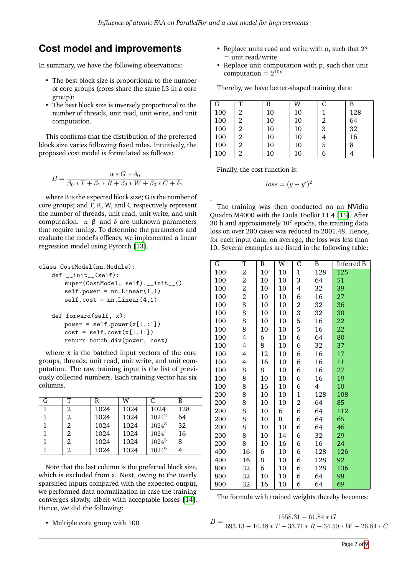.

# **Cost model and improvements**

In summary, we have the following observations:

- The best block size is proportional to the number of core groups (cores share the same L3 in a core group);
- The best block size is inversely proportional to the number of threads, unit read, unit write, and unit computation.

This confirms that the distribution of the preferred block size varies following fixed rules. Intuitively, the proposed cost model is formulated as follows:

$$
B = \frac{\alpha * G + \delta_0}{\beta_0 * T + \beta_1 * R + \beta_2 * W + \beta_3 * C + \delta_1}
$$

where B is the expected block size; G is the number of core groups; and T, R, W, and C respectively represent the number of threads, unit read, unit write, and unit computation.  $\alpha$  β and δ are unknown parameters that require tuning. To determine the parameters and evaluate the model's efficacy, we implemented a linear regression model using Pytorch [\[13\]](#page-8-13).

```
class CostModel(nn.Module):
   def __init__(self):
       super(CostModel, self).__init__()
       self.power = nn.Linear(1,1)self. cost = nn.Linear(4.1)def forward(self, x):
       power = self.power(x[:, : 1])cost = self.cost(x[:, 1:])return torch.div(power, cost)
```
where x is the batched input vectors of the core groups, threads, unit read, unit write, and unit computation. The raw training input is the list of previously collected numbers. Each training vector has six columns.

| G | т | R    | W    | C.         | B   |
|---|---|------|------|------------|-----|
|   | 2 | 1024 | 1024 | 1024       | 128 |
|   | 2 | 1024 | 1024 | $1024^2$   | 64  |
|   | 2 | 1024 | 1024 | $1024^3$   | 32  |
|   | 2 | 1024 | 1024 | $1024^4$   | 16  |
|   | 2 | 1024 | 1024 | $1024^{5}$ | 8   |
|   | 2 | 1024 | 1024 | $1024^6$   |     |

Note that the last column is the preferred block size, which is excluded from x. Next, owing to the overly sparsified inputs compared with the expected output, we performed data normalization in case the training converges slowly, albeit with acceptable losses [\[14\]](#page-8-14). Hence, we did the following:

• Multiple core group with 100

- Replace units read and write with n, such that  $2^n$ = unit read/write
- Replace unit computation with p, such that unit computation =  $2^{10p}$

Thereby, we have better-shaped training data:

| G   | ᠇᠇ | R  | W  |   | B   |
|-----|----|----|----|---|-----|
| 100 | 2  | 10 | 10 |   | 128 |
| 100 | 2  | 10 | 10 | 2 | 64  |
| 100 | 2  | 10 | 10 | 3 | 32  |
| 100 | 2  | 10 | 10 |   | 16  |
| 100 | 2  | 10 | 10 | 5 | 8   |
| 100 | 2  | 10 | 10 |   |     |

Finally, the cost function is:

$$
loss = (y - y')^2
$$

The training was then conducted on an NVidia Quadro M4000 with the Cuda Toolkit 11.4 [\[15\]](#page-8-15). After 30 h and approximately  $10^7$  epochs, the training data loss on over 200 cases was reduced to 2001.48. Hence, for each input data, on average, the loss was less than 10. Several examples are listed in the following table:

| G   | T                       | R  | W  | C            | B   | Inferred B       |
|-----|-------------------------|----|----|--------------|-----|------------------|
| 100 | 2                       | 10 | 10 | $\mathbf{1}$ | 128 | $\overline{125}$ |
| 100 | $\overline{2}$          | 10 | 10 | 3            | 64  | 51               |
| 100 | $\overline{\mathbf{c}}$ | 10 | 10 | 4            | 32  | 39               |
| 100 | 2                       | 10 | 10 | 6            | 16  | 27               |
| 100 | 8                       | 10 | 10 | 2            | 32  | 36               |
| 100 | 8                       | 10 | 10 | 3            | 32  | 30               |
| 100 | 8                       | 10 | 10 | 5            | 16  | 22               |
| 100 | 8                       | 10 | 10 | 5            | 16  | 22               |
| 100 | 4                       | 6  | 10 | 6            | 64  | 80               |
| 100 | 4                       | 8  | 10 | 6            | 32  | 37               |
| 100 | 4                       | 12 | 10 | 6            | 16  | 17               |
| 100 | 4                       | 16 | 10 | 6            | 16  | 11               |
| 100 | 8                       | 8  | 10 | 6            | 16  | 27               |
| 100 | 8                       | 10 | 10 | 6            | 16  | 19               |
| 100 | 8                       | 16 | 10 | 6            | 4   | 10               |
| 200 | 8                       | 10 | 10 | $\mathbf 1$  | 128 | 108              |
| 200 | 8                       | 10 | 10 | 2            | 64  | 85               |
| 200 | 8                       | 10 | 6  | 6            | 64  | 112              |
| 200 | 8                       | 10 | 8  | 6            | 64  | 65               |
| 200 | 8                       | 10 | 10 | 6            | 64  | 46               |
| 200 | 8                       | 10 | 14 | 6            | 32  | 29               |
| 200 | 8                       | 10 | 16 | 6            | 16  | 24               |
| 400 | 16                      | 6  | 10 | 6            | 128 | 126              |
| 400 | 16                      | 8  | 10 | 6            | 128 | 92               |
| 800 | 32                      | 6  | 10 | 6            | 128 | 136              |
| 800 | 32                      | 10 | 10 | 6            | 64  | 98               |
| 800 | 32                      | 16 | 10 | 6            | 64  | 69               |

The formula with trained weights thereby becomes:

 $B =$  $1558.31 - 61.84 * G$  $\overline{693.13 - 10.48 * T - 33.71 * R - 34.50 * W - 26.84 * C}$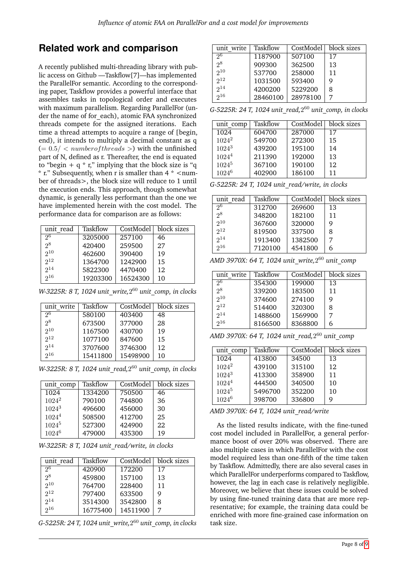# **Related work and comparison**

A recently published multi-threading library with public access on Github —Taskflow[7]—has implemented the ParallelFor semantic. According to the corresponding paper, Taskflow provides a powerful interface that assembles tasks in topological order and executes with maximum parallelism. Regarding ParallelFor (under the name of for each), atomic FAA synchronized threads compete for the assigned iterations. Each time a thread attempts to acquire a range of [begin, end), it intends to multiply a decimal constant as q  $(= 0.5 / < number of threads >)$  with the unfinished part of N, defined as r. Thereafter, the end is equated to "begin +  $q * r$ ," implying that the block size is "q  $*$  r." Subsequently, when r is smaller than 4  $*$  <number of threads>, the block size will reduce to 1 until the execution ends. This approach, though somewhat dynamic, is generally less performant than the one we have implemented herein with the cost model. The performance data for comparison are as follows:

| unit read      | Taskflow | CostModel | block sizes |
|----------------|----------|-----------|-------------|
| 2 <sup>6</sup> | 3205000  | 257100    | 46          |
| $2^8$          | 420400   | 259500    | 27          |
| $2^{10}$       | 462600   | 390400    | 19          |
| $2^{12}$       | 1364700  | 1242900   | 15          |
| $2^{14}$       | 5822300  | 4470400   | 12          |
| 216            | 19203300 | 16524300  | 10          |

*W-3225R: 8 T, 1024 unit\_write,*2 <sup>60</sup> *unit\_comp, in clocks*

| unit write     | Taskflow | CostModel | block sizes |
|----------------|----------|-----------|-------------|
| 2 <sup>6</sup> | 580100   | 403400    | 48          |
| $2^8$          | 673500   | 377000    | 28          |
| $2^{10}$       | 1167500  | 430700    | 19          |
| $2^{12}$       | 1077100  | 847600    | 15          |
| $2^{14}$       | 3707600  | 3746300   | 12          |
| 216            | 15411800 | 15498900  | 10          |

*W-3225R: 8 T, 1024 unit\_read,*2 <sup>60</sup> *unit\_comp, in clocks*

| unit comp         | Taskflow | CostModel | block sizes |
|-------------------|----------|-----------|-------------|
| 1024              | 1334200  | 750500    | 46          |
| $1024^2$          | 790100   | 744800    | 36          |
| $1024^3$          | 496600   | 456000    | 30          |
| 1024 <sup>4</sup> | 508500   | 412700    | 25          |
| $1024^5$          | 527300   | 424900    | 22          |
| $1024^6$          | 479000   | 435300    | 19          |

*W-3225R: 8 T, 1024 unit\_read/write, in clocks*

| unit read      | Taskflow |          | CostModel   block sizes |
|----------------|----------|----------|-------------------------|
| 2 <sup>6</sup> | 420900   | 172200   | 17                      |
| 2 <sup>8</sup> | 459800   | 157100   | 13                      |
| $2^{10}$       | 764700   | 228400   | 11                      |
| $2^{12}$       | 797400   | 633500   | 9                       |
| $2^{14}$       | 3514300  | 3542800  | 8                       |
| 216            | 16775400 | 14511900 | 7                       |

*G-5225R: 24 T, 1024 unit\_write,*2 <sup>60</sup> *unit\_comp, in clocks*

| unit write     | Taskflow |          | CostModel   block sizes |
|----------------|----------|----------|-------------------------|
| 2 <sup>6</sup> | 1187900  | 507100   | 17                      |
| 2 <sup>8</sup> | 909300   | 362500   | 13                      |
| $2^{10}$       | 537700   | 258000   | 11                      |
| $2^{12}$       | 1031500  | 593400   | 9                       |
| $2^{14}$       | 4200200  | 5229200  | 8                       |
| $2^{16}$       | 28460100 | 28978100 | 7                       |

*G-5225R: 24 T, 1024 unit\_read,*2 <sup>60</sup> *unit\_comp, in clocks*

| unit comp         | Taskflow | CostModel | block sizes |
|-------------------|----------|-----------|-------------|
| 1024              | 604700   | 287000    | 17          |
| $1024^2$          | 549700   | 272300    | 15          |
| $1024^3$          | 439200   | 195100    | 14          |
| $1024^4$          | 211390   | 192000    | 13          |
| $1024^{5}$        | 367100   | 190100    | 12          |
| 1024 <sup>6</sup> | 402900   | 186100    | 11          |

*G-5225R: 24 T, 1024 unit\_read/write, in clocks*

| unit read | Taskflow | CostModel | block sizes |
|-----------|----------|-----------|-------------|
| 26        | 312700   | 269600    | 13          |
| $2^8$     | 348200   | 182100    | 11          |
| $2^{10}$  | 367600   | 320000    | g           |
| $2^{12}$  | 819500   | 337500    | 8           |
| $2^{14}$  | 1913400  | 1382500   | 7           |
| 216       | 7120100  | 4541800   |             |

| unit write      | Taskflow | CostModel | block sizes |
|-----------------|----------|-----------|-------------|
| 2 <sup>6</sup>  | 354300   | 199000    | 13          |
| $2^8$           | 339200   | 183500    | 11          |
| $2^{10}$        | 374600   | 274100    | Q           |
| $2^{12}$        | 514400   | 320300    | 8           |
| 2 <sup>14</sup> | 1488600  | 1569900   | 7           |
| 216             | 8166500  | 8368800   |             |

|--|--|--|

| unit comp | Taskflow | CostModel | block sizes |
|-----------|----------|-----------|-------------|
| 1024      | 413800   | 34500     | 13          |
| $1024^2$  | 439100   | 315100    | 12          |
| $1024^3$  | 413300   | 358900    | 11          |
| $1024^4$  | 444500   | 340500    | 10          |
| $1024^5$  | 5496700  | 352200    | 10          |
| $1024^6$  | 398700   | 336800    | g           |

*AMD 3970X: 64 T, 1024 unit\_read/write*

As the listed results indicate, with the fine-tuned cost model included in ParallelFor, a general performance boost of over 20% was observed. There are also multiple cases in which ParallelFor with the cost model required less than one-fifth of the time taken by Taskflow. Admittedly, there are also several cases in which ParallelFor underperforms compared to Taskflow, however, the lag in each case is relatively negligible. Moreover, we believe that these issues could be solved by using fine-tuned training data that are more representative; for example, the training data could be enriched with more fine-grained case information on task size.